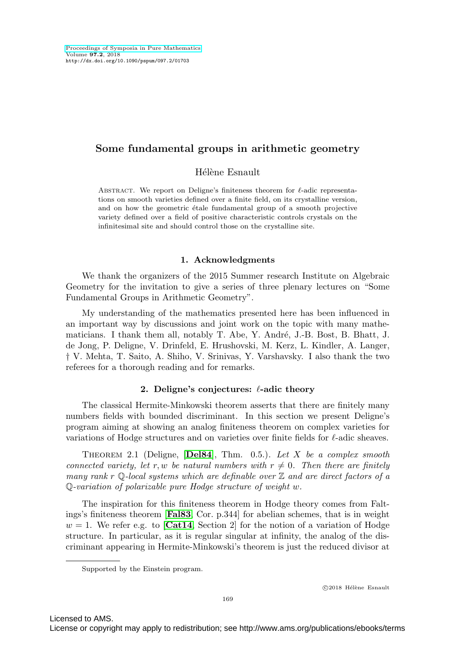# **Some fundamental groups in arithmetic geometry**

Hélène Esnault

ABSTRACT. We report on Deligne's finiteness theorem for  $\ell$ -adic representations on smooth varieties defined over a finite field, on its crystalline version, and on how the geometric étale fundamental group of a smooth projective variety defined over a field of positive characteristic controls crystals on the infinitesimal site and should control those on the crystalline site.

#### **1. Acknowledgments**

We thank the organizers of the 2015 Summer research Institute on Algebraic Geometry for the invitation to give a series of three plenary lectures on "Some Fundamental Groups in Arithmetic Geometry".

My understanding of the mathematics presented here has been influenced in an important way by discussions and joint work on the topic with many mathematicians. I thank them all, notably T. Abe, Y. André, J.-B. Bost, B. Bhatt, J. de Jong, P. Deligne, V. Drinfeld, E. Hrushovski, M. Kerz, L. Kindler, A. Langer, † V. Mehta, T. Saito, A. Shiho, V. Srinivas, Y. Varshavsky. I also thank the two referees for a thorough reading and for remarks.

#### 2. Deligne's conjectures:  $\ell$ -adic theory

The classical Hermite-Minkowski theorem asserts that there are finitely many numbers fields with bounded discriminant. In this section we present Deligne's program aiming at showing an analog finiteness theorem on complex varieties for variations of Hodge structures and on varieties over finite fields for  $\ell$ -adic sheaves.

<span id="page-0-0"></span>Theorem 2.1 (Deligne, [**[Del84](#page-8-0)**], Thm. 0.5.). Let X be a complex smooth connected variety, let r, w be natural numbers with  $r \neq 0$ . Then there are finitely many rank r Q-local systems which are definable over  $\mathbb Z$  and are direct factors of a Q-variation of polarizable pure Hodge structure of weight w.

The inspiration for this finiteness theorem in Hodge theory comes from Faltings's finiteness theorem [**[Fal83](#page-9-0)**, Cor. p.344] for abelian schemes, that is in weight  $w = 1$ . We refer e.g. to  $\mathbf{[Cat14}$  $\mathbf{[Cat14}$  $\mathbf{[Cat14}$ , Section 2 for the notion of a variation of Hodge structure. In particular, as it is regular singular at infinity, the analog of the discriminant appearing in Hermite-Minkowski's theorem is just the reduced divisor at

Supported by the Einstein program.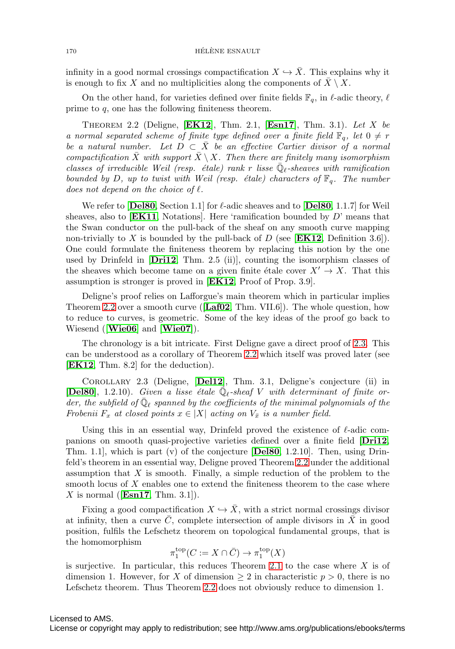infinity in a good normal crossings compactification  $X \hookrightarrow \overline{X}$ . This explains why it is enough to fix X and no multiplicities along the components of  $\overline{X} \setminus X$ .

On the other hand, for varieties defined over finite fields  $\mathbb{F}_q$ , in  $\ell$ -adic theory,  $\ell$ prime to q, one has the following finiteness theorem.

<span id="page-1-0"></span>Theorem 2.2 (Deligne, [**[EK12](#page-8-2)**], Thm. 2.1, [**[Esn17](#page-9-1)**], Thm. 3.1). Let X be a normal separated scheme of finite type defined over a finite field  $\mathbb{F}_q$ , let  $0 \neq r$ be a natural number. Let  $D \subset \bar{X}$  be an effective Cartier divisor of a normal compactification  $\bar{X}$  with support  $\bar{X} \setminus X$ . Then there are finitely many isomorphism classes of irreducible Weil (resp. étale) rank r lisse  $\bar{\mathbb{Q}}_{\ell}$ -sheaves with ramification bounded by D, up to twist with Weil (resp.  $\acute{e}t$ de) characters of  $\mathbb{F}_q$ . The number does not depend on the choice of  $\ell$ .

We refer to  $[\textbf{Del80}, \text{Section 1.1}]$  $[\textbf{Del80}, \text{Section 1.1}]$  $[\textbf{Del80}, \text{Section 1.1}]$  for  $\ell$ -adic sheaves and to  $[\textbf{Del80}, 1.1.7]$  for Weil sheaves, also to [**[EK11](#page-8-4)**, Notations]. Here 'ramification bounded by D' means that the Swan conductor on the pull-back of the sheaf on any smooth curve mapping non-trivially to X is bounded by the pull-back of D (see [**[EK12](#page-8-2)**, Definition 3.6]). One could formulate the finiteness theorem by replacing this notion by the one used by Drinfeld in [**[Dri12](#page-8-5)**, Thm. 2.5 (ii)], counting the isomorphism classes of the sheaves which become tame on a given finite étale cover  $X' \to X$ . That this assumption is stronger is proved in [**[EK12](#page-8-2)**, Proof of Prop. 3.9].

Deligne's proof relies on Lafforgue's main theorem which in particular implies Theorem [2.2](#page-1-0) over a smooth curve ([**[Laf02](#page-9-2)**, Thm. VII.6]). The whole question, how to reduce to curves, is geometric. Some of the key ideas of the proof go back to Wiesend ([**[Wie06](#page-9-3)**] and [**[Wie07](#page-9-4)**]).

The chronology is a bit intricate. First Deligne gave a direct proof of [2.3.](#page-1-1) This can be understood as a corollary of Theorem [2.2](#page-1-0) which itself was proved later (see [**[EK12](#page-8-2)**, Thm. 8.2] for the deduction).

<span id="page-1-1"></span>Corollary 2.3 (Deligne, [**[Del12](#page-8-6)**], Thm. 3.1, Deligne's conjecture (ii) in [[Del80](#page-8-3)], 1.2.10). Given a lisse étale  $\overline{\mathbb{Q}}_{\ell}$ -sheaf V with determinant of finite order, the subfield of  $\bar{\mathbb{Q}}_{\ell}$  spanned by the coefficients of the minimal polynomials of the Frobenii  $F_x$  at closed points  $x \in |X|$  acting on  $V_{\bar{x}}$  is a number field.

Using this in an essential way, Drinfeld proved the existence of  $\ell$ -adic companions on smooth quasi-projective varieties defined over a finite field [**[Dri12](#page-8-5)**, Thm. 1.1], which is part (v) of the conjecture [**[Del80](#page-8-3)**, 1.2.10]. Then, using Drinfeld's theorem in an essential way, Deligne proved Theorem [2.2](#page-1-0) under the additional assumption that  $X$  is smooth. Finally, a simple reduction of the problem to the smooth locus of X enables one to extend the finiteness theorem to the case where X is normal ([**[Esn17](#page-9-1)**, Thm. 3.1]).

Fixing a good compactification  $X \hookrightarrow \overline{X}$ , with a strict normal crossings divisor at infinity, then a curve  $\tilde{C}$ , complete intersection of ample divisors in  $\tilde{X}$  in good position, fulfils the Lefschetz theorem on topological fundamental groups, that is the homomorphism

$$
\pi_1^{\text{top}}(C := X \cap \bar{C}) \to \pi_1^{\text{top}}(X)
$$

is surjective. In particular, this reduces Theorem [2.1](#page-0-0) to the case where  $X$  is of dimension 1. However, for X of dimension  $\geq 2$  in characteristic  $p > 0$ , there is no Lefschetz theorem. Thus Theorem [2.2](#page-1-0) does not obviously reduce to dimension 1.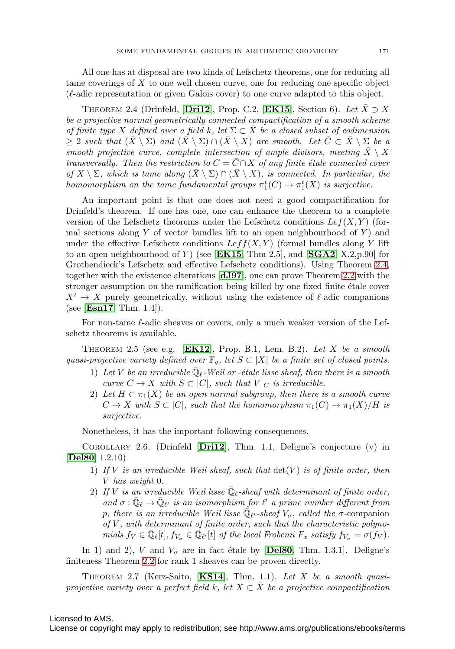All one has at disposal are two kinds of Lefschetz theorems, one for reducing all tame coverings of X to one well chosen curve, one for reducing one specific object  $(\ell$ -adic representation or given Galois cover) to one curve adapted to this object.

<span id="page-2-0"></span>THEOREM 2.4 (Drinfeld, [**[Dri12](#page-8-5)**], Prop. C.2, [**[EK15](#page-9-5)**], Section 6). Let  $\overline{X} \supseteq X$ be a projective normal geometrically connected compactification of a smooth scheme of finite type X defined over a field k, let  $\Sigma \subset X$  be a closed subset of codimension  $\geq 2$  such that  $(X \setminus \Sigma)$  and  $(X \setminus \Sigma) \cap (X \setminus X)$  are smooth. Let  $C \subset \overline{X} \setminus \Sigma$  be a smooth projective curve, complete intersection of ample divisors, meeting  $\bar{X} \setminus X$ transversally. Then the restriction to  $C = \overline{C} \cap X$  of any finite étale connected cover of  $X \setminus \Sigma$ , which is tame along  $(X \setminus \Sigma) \cap (X \setminus X)$ , is connected. In particular, the homomorphism on the tame fundamental groups  $\pi_1^t(C) \to \pi_1^t(X)$  is surjective.

An important point is that one does not need a good compactification for Drinfeld's theorem. If one has one, one can enhance the theorem to a complete version of the Lefschetz theorems under the Lefschetz conditions  $Lef(X, Y)$  (formal sections along Y of vector bundles lift to an open neighbourhood of  $Y$ ) and under the effective Lefschetz conditions  $Left(X, Y)$  (formal bundles along Y lift to an open neighbourhood of Y ) (see [**[EK15](#page-9-5)**, Thm 2.5], and [**[SGA2](#page-9-6)**, X.2,p.90] for Grothendieck's Lefschetz and effective Lefschetz conditions). Using Theorem [2.4,](#page-2-0) together with the existence alterations [**[dJ97](#page-8-7)**], one can prove Theorem [2.2](#page-1-0) with the stronger assumption on the ramification being killed by one fixed finite étale cover  $X' \to X$  purely geometrically, without using the existence of  $\ell$ -adic companions (see [**[Esn17](#page-9-1)**, Thm. 1.4]).

For non-tame  $\ell$ -adic sheaves or covers, only a much weaker version of the Lefschetz theorems is available.

<span id="page-2-2"></span>THEOREM 2.5 (see e.g.  $[EK12]$  $[EK12]$  $[EK12]$ , Prop. B.1, Lem. B.2). Let X be a smooth quasi-projective variety defined over  $\mathbb{F}_q$ , let  $S \subset |X|$  be a finite set of closed points.

- 1) Let V be an irreducible  $\bar{\mathbb{Q}}_{\ell}$ -Weil or -étale lisse sheaf, then there is a smooth curve  $C \to X$  with  $S \subset |C|$ , such that  $V|_C$  is irreducible.
- 2) Let  $H \subset \pi_1(X)$  be an open normal subgroup, then there is a smooth curve  $C \to X$  with  $S \subset |C|$ , such that the homomorphism  $\pi_1(C) \to \pi_1(X)/H$  is surjective.

Nonetheless, it has the important following consequences.

Corollary 2.6. (Drinfeld [**[Dri12](#page-8-5)**], Thm. 1.1, Deligne's conjecture (v) in [**[Del80](#page-8-3)**] 1.2.10)

- 1) If V is an irreducible Weil sheaf, such that  $\det(V)$  is of finite order, then V has weight 0.
- 2) If V is an irreducible Weil lisse  $\overline{\mathbb{Q}}_{\ell}$ -sheaf with determinant of finite order, and  $\sigma : \bar{\mathbb{Q}}_{\ell} \to \bar{\mathbb{Q}}_{\ell'}$  is an isomorphism for  $\ell'$  a prime number different from p, there is an irreducible Weil lisse  $\overline{\mathbb{Q}}_{\ell'}$ -sheaf  $V_{\sigma}$ , called the  $\sigma$ -companion of  $V$ , with determinant of finite order, such that the characteristic polynomials  $f_V \in \overline{\mathbb{Q}}_{\ell}[t], f_{V_{\sigma}} \in \overline{\mathbb{Q}}_{\ell'}[t]$  of the local Frobenii  $F_x$  satisfy  $f_{V_{\sigma}} = \sigma(f_V)$ .

In 1) and 2), V and  $V_{\sigma}$  are in fact étale by [[Del80](#page-8-3), Thm. 1.3.1]. Deligne's finiteness Theorem [2.2](#page-1-0) for rank 1 sheaves can be proven directly.

<span id="page-2-1"></span>Theorem 2.7 (Kerz-Saito, [**[KS14](#page-9-7)**], Thm. 1.1). Let X be a smooth quasiprojective variety over a perfect field k, let  $X \subset \overline{X}$  be a projective compactification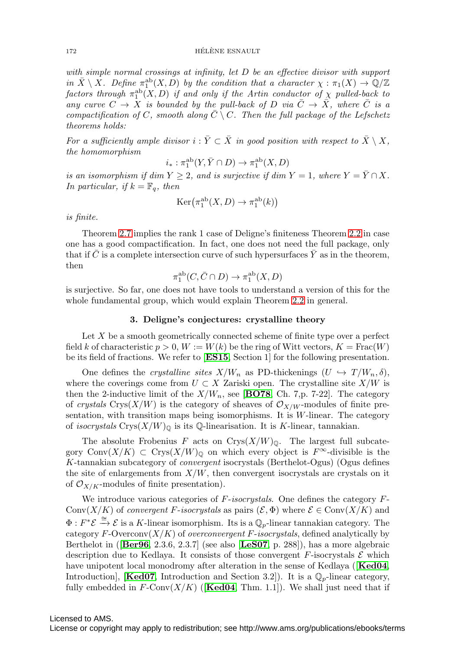with simple normal crossings at infinity, let D be an effective divisor with support in  $\bar{X} \setminus X$ . Define  $\pi_1^{\text{ab}}(X, D)$  by the condition that a character  $\chi : \pi_1(X) \to \mathbb{Q}/\mathbb{Z}$ factors through  $\pi^{\rm ab}_1(X,D)$  if and only if the Artin conductor of  $\chi$  pulled-back to any curve  $C \to X$  is bounded by the pull-back of D via  $\overline{C} \to \overline{X}$ , where  $\overline{C}$  is a compactification of C, smooth along  $\overline{C} \setminus C$ . Then the full package of the Lefschetz theorems holds:

For a sufficiently ample divisor  $i : \overline{Y} \subset \overline{X}$  in good position with respect to  $\overline{X} \setminus X$ , the homomorphism

$$
i_*:\pi^{\rm ab}_1(Y,\bar Y\cap D)\to \pi^{\rm ab}_1(X,D)
$$

is an isomorphism if dim  $Y \geq 2$ , and is surjective if dim  $Y = 1$ , where  $Y = \overline{Y} \cap X$ . In particular, if  $k = \mathbb{F}_q$ , then

$$
Ker(\pi_1^{ab}(X, D) \to \pi_1^{ab}(k))
$$

is finite.

Theorem [2.7](#page-2-1) implies the rank 1 case of Deligne's finiteness Theorem [2.2](#page-1-0) in case one has a good compactification. In fact, one does not need the full package, only that if C is a complete intersection curve of such hypersurfaces  $\overline{Y}$  as in the theorem, then

$$
\pi_1^{\rm ab}(C, \bar{C} \cap D) \to \pi_1^{\rm ab}(X, D)
$$

is surjective. So far, one does not have tools to understand a version of this for the whole fundamental group, which would explain Theorem [2.2](#page-1-0) in general.

#### **3. Deligne's conjectures: crystalline theory**

Let X be a smooth geometrically connected scheme of finite type over a perfect field k of characteristic  $p > 0$ ,  $W := W(k)$  be the ring of Witt vectors,  $K = \text{Frac}(W)$ be its field of fractions. We refer to [**[ES15](#page-8-8)**, Section 1] for the following presentation.

One defines the *crystalline sites*  $X/W_n$  as PD-thickenings  $(U \hookrightarrow T/W_n, \delta)$ , where the coverings come from  $U \subset X$  Zariski open. The crystalline site  $X/W$  is then the 2-inductive limit of the  $X/W_n$ , see [**[BO78](#page-8-9)**, Ch. 7,p. 7-22]. The category of crystals Crys(X/W) is the category of sheaves of  $\mathcal{O}_{X/W}$ -modules of finite presentation, with transition maps being isomorphisms. It is  $W$ -linear. The category of *isocrystals* Crys $(X/W)$ <sup>0</sup> is its Q-linearisation. It is K-linear, tannakian.

The absolute Frobenius F acts on  $Crys(X/W)_\mathbb{Q}$ . The largest full subcategory  $\text{Conv}(X/K) \subset \text{Crys}(X/W)_{\mathbb{Q}}$  on which every object is  $F^{\infty}$ -divisible is the K-tannakian subcategory of convergent isocrystals (Berthelot-Ogus) (Ogus defines the site of enlargements from  $X/W$ , then convergent isocrystals are crystals on it of  $\mathcal{O}_{X/K}$ -modules of finite presentation).

We introduce various categories of  $F$ -isocrystals. One defines the category  $F$ -Conv $(X/K)$  of convergent F-isocrystals as pairs  $(\mathcal{E}, \Phi)$  where  $\mathcal{E} \in \text{Conv}(X/K)$  and  $\Phi: F^*\mathcal{E} \stackrel{\cong}{\longrightarrow} \mathcal{E}$  is a K-linear isomorphism. Its is a  $\mathbb{Q}_p$ -linear tannakian category. The category F-Overconv $(X/K)$  of overconvergent F-isocrystals, defined analytically by Berthelot in ([**[Ber96](#page-8-10)**, 2.3.6, 2.3.7] (see also [**[LeS07](#page-9-8)**, p. 288]), has a more algebraic description due to Kedlaya. It consists of those convergent  $F$ -isocrystals  $\mathcal E$  which have unipotent local monodromy after alteration in the sense of Kedlaya ([**[Ked04](#page-9-9)**, Introduction], **[[Ked07](#page-9-10)**, Introduction and Section 3.2]). It is a  $\mathbb{Q}_p$ -linear category, fully embedded in  $F\text{-Conv}(X/K)$  ([**[Ked04](#page-9-9)**, Thm. 1.1]). We shall just need that if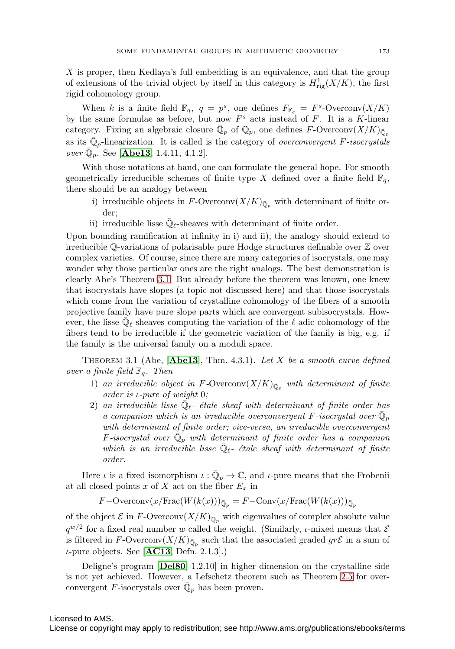X is proper, then Kedlaya's full embedding is an equivalence, and that the group of extensions of the trivial object by itself in this category is  $H^1_{\text{rig}}(X/K)$ , the first rigid cohomology group.

When k is a finite field  $\mathbb{F}_q$ ,  $q = p^s$ , one defines  $F_{\mathbb{F}_q} = F^s$ -Overconv $(X/K)$ by the same formulae as before, but now  $F<sup>s</sup>$  acts instead of F. It is a K-linear category. Fixing an algebraic closure  $\overline{\mathbb{Q}}_p$  of  $\mathbb{Q}_p$ , one defines F-Overconv $(X/K)_{\overline{\mathbb{Q}}_p}$ as its  $\overline{\mathbb{Q}}_n$ -linearization. It is called is the category of *overconvergent F-isocrystals* over  $\mathbb{Q}_n$ . See [**[Abe13](#page-8-11)**, 1.4.11, 4.1.2].

With those notations at hand, one can formulate the general hope. For smooth geometrically irreducible schemes of finite type X defined over a finite field  $\mathbb{F}_q$ , there should be an analogy between

- i) irreducible objects in  $F\text{-}\mathrm{Overconv}(X/K)_{\bar{\mathbb{Q}}_p}$  with determinant of finite order;
- ii) irreducible lisse  $\bar{\mathbb{Q}}_{\ell}$ -sheaves with determinant of finite order.

Upon bounding ramification at infinity in i) and ii), the analogy should extend to irreducible Q-variations of polarisable pure Hodge structures definable over Z over complex varieties. Of course, since there are many categories of isocrystals, one may wonder why those particular ones are the right analogs. The best demonstration is clearly Abe's Theorem [3.1.](#page-4-0) But already before the theorem was known, one knew that isocrystals have slopes (a topic not discussed here) and that those isocrystals which come from the variation of crystalline cohomology of the fibers of a smooth projective family have pure slope parts which are convergent subisocrystals. However, the lisse  $\overline{\mathbb{Q}}_{\ell}$ -sheaves computing the variation of the  $\ell$ -adic cohomology of the fibers tend to be irreducible if the geometric variation of the family is big, e.g. if the family is the universal family on a moduli space.

<span id="page-4-0"></span>THEOREM 3.1 (Abe,  $[Abe13]$  $[Abe13]$  $[Abe13]$ , Thm. 4.3.1). Let X be a smooth curve defined over a finite field  $\mathbb{F}_q$ . Then

- 1) an irreducible object in F-Overconv $(X/K)_{\overline{\mathbb{Q}}_p}$  with determinant of finite order is ι-pure of weight 0;
- 2) an irreducible lisse  $\overline{\mathbb{Q}}_{\ell}$  étale sheaf with determinant of finite order has a companion which is an irreducible overconvergent F-isocrystal over  $\mathbb{Q}_p$ with determinant of finite order; vice-versa, an irreducible overconvergent F-isocrystal over  $\mathbb{Q}_p$  with determinant of finite order has a companion which is an irreducible lisse  $\bar{\mathbb{Q}}_{\ell}$ - étale sheaf with determinant of finite order.

Here  $\iota$  is a fixed isomorphism  $\iota : \overline{\mathbb{Q}}_p \to \mathbb{C}$ , and  $\iota$ -pure means that the Frobenii at all closed points x of X act on the fiber  $E_x$  in

$$
F-\text{Overconv}(x/\text{Frac}(W(k(x)))_{\bar{\mathbb{Q}}_p}=F-\text{Conv}(x/\text{Frac}(W(k(x)))_{\bar{\mathbb{Q}}_p})
$$

of the object  $\mathcal E$  in F-Overconv $(X/K)_{\overline{\mathbb Q}_p}$  with eigenvalues of complex absolute value  $q^{w/2}$  for a fixed real number w called the weight. (Similarly, *ι*-mixed means that  $\mathcal E$ is filtered in F-Overconv $(X/K)_{\overline{\mathbb{Q}}_p}$  such that the associated graded  $gr\mathcal{E}$  in a sum of ι-pure objects. See [**[AC13](#page-8-12)**, Defn. 2.1.3].)

Deligne's program [**[Del80](#page-8-3)**, 1.2.10] in higher dimension on the crystalline side is not yet achieved. However, a Lefschetz theorem such as Theorem [2.5](#page-2-2) for overconvergent F-isocrystals over  $\overline{\mathbb{Q}}_p$  has been proven.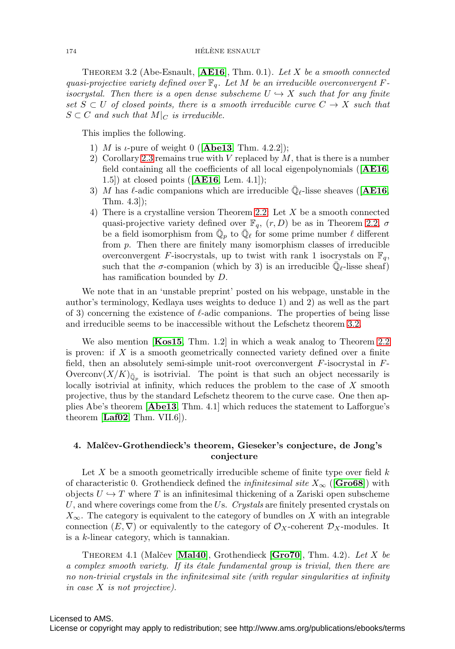<span id="page-5-0"></span>Theorem 3.2 (Abe-Esnault, [**[AE16](#page-8-13)**], Thm. 0.1). Let X be a smooth connected quasi-projective variety defined over  $\mathbb{F}_q$ . Let M be an irreducible overconvergent Fisocrystal. Then there is a open dense subscheme  $U \hookrightarrow X$  such that for any finite set  $S \subset U$  of closed points, there is a smooth irreducible curve  $C \to X$  such that  $S \subset C$  and such that  $M|_C$  is irreducible.

This implies the following.

- 1) M is *ι*-pure of weight 0 ( $[Abe13, Thm. 4.2.2]$  $[Abe13, Thm. 4.2.2]$  $[Abe13, Thm. 4.2.2]$ );
- 2) Corollary [2.3](#page-1-1) remains true with  $V$  replaced by  $M$ , that is there is a number field containing all the coefficients of all local eigenpolynomials ([**[AE16](#page-8-13)**, 1.5]) at closed points ([**[AE16](#page-8-13)**, Lem. 4.1]);
- 3) M has  $\ell$ -adic companions which are irreducible  $\overline{\mathbb{Q}}_{\ell}$ -lisse sheaves ([**[AE16](#page-8-13)**, Thm. 4.3]);
- 4) There is a crystalline version Theorem [2.2:](#page-1-0) Let X be a smooth connected quasi-projective variety defined over  $\mathbb{F}_q$ ,  $(r, D)$  be as in Theorem [2.2,](#page-1-0)  $\sigma$ be a field isomorphism from  $\overline{\mathbb{Q}}_p$  to  $\overline{\mathbb{Q}}_\ell$  for some prime number  $\ell$  different from  $p$ . Then there are finitely many isomorphism classes of irreducible overconvergent F-isocrystals, up to twist with rank 1 isocrystals on  $\mathbb{F}_q$ , such that the  $\sigma$ -companion (which by 3) is an irreducible  $\overline{\mathbb{Q}}_{\ell}$ -lisse sheaf) has ramification bounded by D.

We note that in an 'unstable preprint' posted on his webpage, unstable in the author's terminology, Kedlaya uses weights to deduce 1) and 2) as well as the part of 3) concerning the existence of  $\ell$ -adic companions. The properties of being lisse and irreducible seems to be inaccessible without the Lefschetz theorem [3.2.](#page-5-0)

We also mention [**[Kos15](#page-9-11)**, Thm. 1.2] in which a weak analog to Theorem [2.2](#page-1-0) is proven: if  $X$  is a smooth geometrically connected variety defined over a finite field, then an absolutely semi-simple unit-root overconvergent F-isocrystal in F-Overconv $(X/K)_{\bar{\mathbb{Q}}_p}$  is isotrivial. The point is that such an object necessarily is locally isotrivial at infinity, which reduces the problem to the case of X smooth projective, thus by the standard Lefschetz theorem to the curve case. One then applies Abe's theorem [**[Abe13](#page-8-11)**, Thm. 4.1] which reduces the statement to Lafforgue's theorem [**[Laf02](#page-9-2)**, Thm. VII.6]).

# **4. Malˇcev-Grothendieck's theorem, Gieseker's conjecture, de Jong's conjecture**

Let X be a smooth geometrically irreducible scheme of finite type over field  $k$ of characteristic 0. Grothendieck defined the *infinitesimal site*  $X_{\infty}$  ([**[Gro68](#page-9-12)**]) with objects  $U \hookrightarrow T$  where T is an infinitesimal thickening of a Zariski open subscheme  $U$ , and where coverings come from the Us. Crystals are finitely presented crystals on  $X_{\infty}$ . The category is equivalent to the category of bundles on X with an integrable connection  $(E, \nabla)$  or equivalently to the category of  $\mathcal{O}_X$ -coherent  $\mathcal{D}_X$ -modules. It is a k-linear category, which is tannakian.

<span id="page-5-1"></span>THEOREM 4.1 (Malčev [**[Mal40](#page-9-13)**], Grothendieck [**[Gro70](#page-9-14)**], Thm. 4.2). Let X be a complex smooth variety. If its  $\acute{e}t$  fundamental group is trivial, then there are no non-trivial crystals in the infinitesimal site (with regular singularities at infinity in case X is not projective).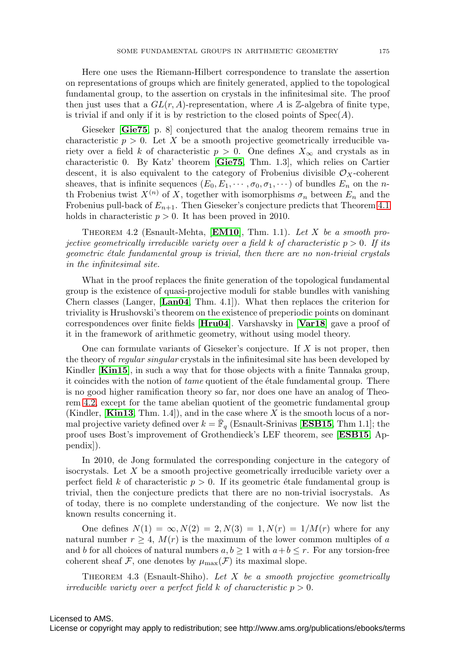Here one uses the Riemann-Hilbert correspondence to translate the assertion on representations of groups which are finitely generated, applied to the topological fundamental group, to the assertion on crystals in the infinitesimal site. The proof then just uses that a  $GL(r, A)$ -representation, where A is Z-algebra of finite type, is trivial if and only if it is by restriction to the closed points of  $Spec(A)$ .

Gieseker [**[Gie75](#page-9-15)**, p. 8] conjectured that the analog theorem remains true in characteristic  $p > 0$ . Let X be a smooth projective geometrically irreducible variety over a field k of characteristic  $p > 0$ . One defines  $X_{\infty}$  and crystals as in characteristic 0. By Katz' theorem [**[Gie75](#page-9-15)**, Thm. 1.3], which relies on Cartier descent, it is also equivalent to the category of Frobenius divisible  $\mathcal{O}_X$ -coherent sheaves, that is infinite sequences  $(E_0, E_1, \dots, \sigma_0, \sigma_1, \dots)$  of bundles  $E_n$  on the nth Frobenius twist  $X^{(n)}$  of X, together with isomorphisms  $\sigma_n$  between  $E_n$  and the Frobenius pull-back of  $E_{n+1}$ . Then Gieseker's conjecture predicts that Theorem [4.1](#page-5-1) holds in characteristic  $p > 0$ . It has been proved in 2010.

<span id="page-6-0"></span>Theorem 4.2 (Esnault-Mehta, [**[EM10](#page-8-14)**], Thm. 1.1). Let X be a smooth projective geometrically irreducible variety over a field k of characteristic  $p > 0$ . If its geometric étale fundamental group is trivial, then there are no non-trivial crystals in the infinitesimal site.

What in the proof replaces the finite generation of the topological fundamental group is the existence of quasi-projective moduli for stable bundles with vanishing Chern classes (Langer, [**[Lan04](#page-9-16)**, Thm. 4.1]). What then replaces the criterion for triviality is Hrushovski's theorem on the existence of preperiodic points on dominant correspondences over finite fields [**[Hru04](#page-9-17)**]. Varshavsky in [**[Var18](#page-9-18)**] gave a proof of it in the framework of arithmetic geometry, without using model theory.

One can formulate variants of Gieseker's conjecture. If  $X$  is not proper, then the theory of regular singular crystals in the infinitesimal site has been developed by Kindler [**[Kin15](#page-9-19)**], in such a way that for those objects with a finite Tannaka group, it coincides with the notion of  $tame$  quotient of the étale fundamental group. There is no good higher ramification theory so far, nor does one have an analog of Theorem [4.2,](#page-6-0) except for the tame abelian quotient of the geometric fundamental group (Kindler,  $\mathbf{[Kind}$ , Thm. 1.4), and in the case where X is the smooth locus of a normal projective variety defined over  $k = \mathbb{F}_q$  (Esnault-Srinivas [[ESB15](#page-8-15), Thm 1.1]; the proof uses Bost's improvement of Grothendieck's LEF theorem, see [**[ESB15](#page-8-15)**, Appendix]).

In 2010, de Jong formulated the corresponding conjecture in the category of isocrystals. Let  $X$  be a smooth projective geometrically irreducible variety over a perfect field k of characteristic  $p > 0$ . If its geometric étale fundamental group is trivial, then the conjecture predicts that there are no non-trivial isocrystals. As of today, there is no complete understanding of the conjecture. We now list the known results concerning it.

One defines  $N(1) = \infty, N(2) = 2, N(3) = 1, N(r) = 1/M(r)$  where for any natural number  $r \geq 4$ ,  $M(r)$  is the maximum of the lower common multiples of a and b for all choices of natural numbers  $a, b \ge 1$  with  $a+b \le r$ . For any torsion-free coherent sheaf F, one denotes by  $\mu_{\max}(\mathcal{F})$  its maximal slope.

THEOREM 4.3 (Esnault-Shiho). Let  $X$  be a smooth projective geometrically irreducible variety over a perfect field k of characteristic  $p > 0$ .

# Licensed to AMS.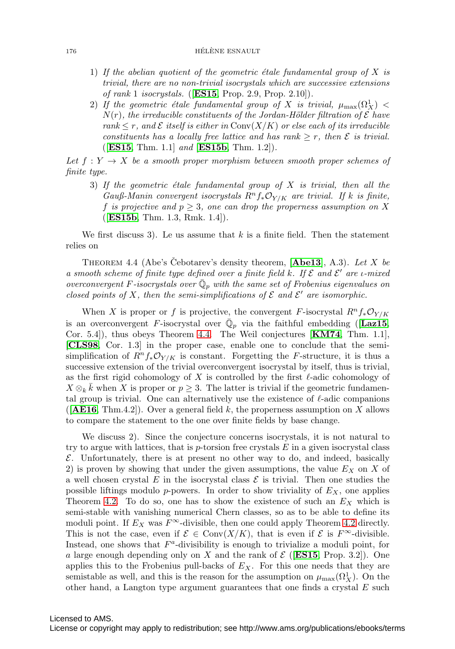- 1) If the abelian quotient of the geometric étale fundamental group of X is trivial, there are no non-trivial isocrystals which are successive extensions of rank 1 isocrystals. ([**[ES15](#page-8-8)**, Prop. 2.9, Prop. 2.10]).
- 2) If the geometric étale fundamental group of X is trivial,  $\mu_{\max}(\Omega^1_X)$  <  $N(r)$ , the irreducible constituents of the Jordan-Hölder filtration of  $\mathcal E$  have rank  $\leq r$ , and  $\mathcal E$  itself is either in Conv $(X/K)$  or else each of its irreducible constituents has a locally free lattice and has rank  $\geq r$ , then  $\mathcal E$  is trivial. ([**[ES15](#page-8-8)**, Thm. 1.1] and [**[ES15b](#page-8-16)**, Thm. 1.2]).

Let  $f: Y \to X$  be a smooth proper morphism between smooth proper schemes of finite type.

3) If the geometric étale fundamental group of  $X$  is trivial, then all the Gauß-Manin convergent isocrystals  $R^n f_* \mathcal{O}_{Y/K}$  are trivial. If k is finite, f is projective and  $p \geq 3$ , one can drop the properness assumption on X ([**[ES15b](#page-8-16)**, Thm. 1.3, Rmk. 1.4]).

We first discuss 3). Le us assume that  $k$  is a finite field. Then the statement relies on

<span id="page-7-0"></span>THEOREM 4.4 (Abe's Cebotarev's density theorem,  $[Abe13]$  $[Abe13]$  $[Abe13]$ , A.3). Let X be a smooth scheme of finite type defined over a finite field k. If  $\mathcal E$  and  $\mathcal E'$  are *i*-mixed overconvergent F-isocrystals over  $\mathbb{Q}_p$  with the same set of Frobenius eigenvalues on closed points of X, then the semi-simplifications of  $\mathcal E$  and  $\mathcal E'$  are isomorphic.

When X is proper or f is projective, the convergent F-isocrystal  $R^n f_* \mathcal{O}_{Y/K}$ is an overconvergent F-isocrystal over  $\mathbb{Q}_p$  via the faithful embedding ([[Laz15](#page-9-21), Cor. 5.4]), thus obeys Theorem [4.4.](#page-7-0) The Weil conjectures [**[KM74](#page-9-22)**, Thm. 1.1], [**[CLS98](#page-8-17)**, Cor. 1.3] in the proper case, enable one to conclude that the semisimplification of  $R^n f_* \mathcal{O}_{Y/K}$  is constant. Forgetting the F-structure, it is thus a successive extension of the trivial overconvergent isocrystal by itself, thus is trivial, as the first rigid cohomology of X is controlled by the first  $\ell$ -adic cohomology of  $X \otimes_k \bar{k}$  when X is proper or  $p \geq 3$ . The latter is trivial if the geometric fundamental group is trivial. One can alternatively use the existence of  $\ell$ -adic companions  $([A \t{E16}, Thm.4.2])$ . Over a general field k, the properness assumption on X allows to compare the statement to the one over finite fields by base change.

We discuss 2). Since the conjecture concerns isocrystals, it is not natural to try to argue with lattices, that is  $p$ -torsion free crystals  $E$  in a given isocrystal class  $\mathcal E$ . Unfortunately, there is at present no other way to do, and indeed, basically 2) is proven by showing that under the given assumptions, the value  $E_X$  on X of a well chosen crystal E in the isocrystal class  $\mathcal E$  is trivial. Then one studies the possible liftings modulo p-powers. In order to show triviality of  $E<sub>X</sub>$ , one applies Theorem [4.2.](#page-6-0) To do so, one has to show the existence of such an  $E<sub>X</sub>$  which is semi-stable with vanishing numerical Chern classes, so as to be able to define its moduli point. If  $E_X$  was  $F^{\infty}$ -divisible, then one could apply Theorem [4.2](#page-6-0) directly. This is not the case, even if  $\mathcal{E} \in \text{Conv}(X/K)$ , that is even if  $\mathcal{E}$  is  $F^{\infty}$ -divisible. Instead, one shows that  $F^a$ -divisibility is enough to trivialize a moduli point, for a large enough depending only on X and the rank of  $\mathcal{E}$  (**[ES15](#page-8-8)**, Prop. 3.2). One applies this to the Frobenius pull-backs of  $E<sub>X</sub>$ . For this one needs that they are semistable as well, and this is the reason for the assumption on  $\mu_{\max}(\Omega^1_X)$ . On the other hand, a Langton type argument guarantees that one finds a crystal E such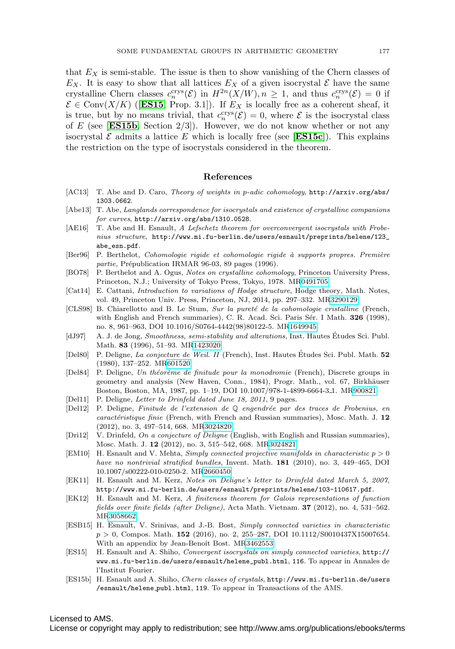that  $E_X$  is semi-stable. The issue is then to show vanishing of the Chern classes of  $E_X$ . It is easy to show that all lattices  $E_X$  of a given isocrystal  $\mathcal E$  have the same crystalline Chern classes  $c_n^{crys}(\mathcal{E})$  in  $H^{2n}(X/W)$ ,  $n \geq 1$ , and thus  $c_n^{crys}(\mathcal{E}) = 0$  if  $\mathcal{E} \in \text{Conv}(X/K)$  ([**[ES15](#page-8-8)**, Prop. 3.1]). If  $E_X$  is locally free as a coherent sheaf, it is true, but by no means trivial, that  $c_n^{crys}(\mathcal{E})=0$ , where  $\mathcal E$  is the isocrystal class of E (see [**[ES15b](#page-8-16)**, Section  $2/3$ ]). However, we do not know whether or not any isocrystal  $\mathcal E$  admits a lattice E which is locally free (see [**[ES15c](#page-9-23)**]). This explains the restriction on the type of isocrystals considered in the theorem.

#### **References**

- <span id="page-8-12"></span>[AC13] T. Abe and D. Caro, Theory of weights in p-adic cohomology, [http://arxiv.org/abs/](http://arxiv.org/abs/1303.0662) [1303.0662](http://arxiv.org/abs/1303.0662).
- <span id="page-8-11"></span>[Abe13] T. Abe, Langlands correspondence for isocrystals and existence of crystalline companions for curves, <http://arxiv.org/abs/1310.0528>.
- <span id="page-8-13"></span>[AE16] T. Abe and H. Esnault, A Lefschetz theorem for overconvergent isocrystals with Frobenius structure, [http://www.mi.fu-berlin.de/users/esnault/preprints/helene/123\\_](http://www.mi.fu-berlin.de/users/esnault/preprints/helene/123_abe_esn.pdf) [abe\\_esn.pdf](http://www.mi.fu-berlin.de/users/esnault/preprints/helene/123_abe_esn.pdf).
- <span id="page-8-10"></span>[Ber96] P. Berthelot, Cohomologie rigide et cohomologie rigide à supports propres. Première partie, Prépublication IRMAR 96-03, 89 pages (1996).
- <span id="page-8-9"></span>[BO78] P. Berthelot and A. Ogus, Notes on crystalline cohomology, Princeton University Press, Princeton, N.J.; University of Tokyo Press, Tokyo, 1978. M[R0491705](http://www.ams.org/mathscinet-getitem?mr=0491705)
- <span id="page-8-1"></span>[Cat14] E. Cattani, Introduction to variations of Hodge structure, Hodge theory, Math. Notes, vol. 49, Princeton Univ. Press, Princeton, NJ, 2014, pp. 297–332. M[R3290129](http://www.ams.org/mathscinet-getitem?mr=3290129)
- <span id="page-8-17"></span>[CLS98] B. Chiarellotto and B. Le Stum, Sur la pureté de la cohomologie cristalline (French, with English and French summaries), C. R. Acad. Sci. Paris Sér. I Math. **326** (1998), no. 8, 961–963, DOI 10.1016/S0764-4442(98)80122-5. M[R1649945](http://www.ams.org/mathscinet-getitem?mr=1649945)
- <span id="page-8-7"></span>[dJ97] A. J. de Jong, Smoothness, semi-stability and alterations, Inst. Hautes Études Sci. Publ. Math. **83** (1996), 51–93. M[R1423020](http://www.ams.org/mathscinet-getitem?mr=1423020)
- <span id="page-8-3"></span>[Del80] P. Deligne, La conjecture de Weil. II (French), Inst. Hautes Etudes Sci. Publ. Math. ´ **52** (1980), 137–252. M[R601520](http://www.ams.org/mathscinet-getitem?mr=601520)
- <span id="page-8-0"></span>[Del84] P. Deligne, Un théorème de finitude pour la monodromie (French), Discrete groups in geometry and analysis (New Haven, Conn., 1984), Progr. Math., vol. 67, Birkhäuser Boston, Boston, MA, 1987, pp. 1–19, DOI 10.1007/978-1-4899-6664-3 1. M[R900821](http://www.ams.org/mathscinet-getitem?mr=900821)
- [Del11] P. Deligne, Letter to Drinfeld dated June 18, 2011, 9 pages.
- <span id="page-8-6"></span>[Del12] P. Deligne, Finitude de l'extension de  $\mathbb Q$  engendrée par des traces de Frobenius, en caractéristique finie (French, with French and Russian summaries), Mosc. Math. J. 12 (2012), no. 3, 497–514, 668. M[R3024820](http://www.ams.org/mathscinet-getitem?mr=3024820)
- <span id="page-8-5"></span>[Dri12] V. Drinfeld, On a conjecture of Deligne (English, with English and Russian summaries), Mosc. Math. J. **12** (2012), no. 3, 515–542, 668. M[R3024821](http://www.ams.org/mathscinet-getitem?mr=3024821)
- <span id="page-8-14"></span>[EM10] H. Esnault and V. Mehta, Simply connected projective manifolds in characteristic  $p > 0$ have no nontrivial stratified bundles, Invent. Math. **181** (2010), no. 3, 449–465, DOI 10.1007/s00222-010-0250-2. M[R2660450](http://www.ams.org/mathscinet-getitem?mr=2660450)
- <span id="page-8-4"></span>[EK11] H. Esnault and M. Kerz, Notes on Deligne's letter to Drinfeld dated March 5, 2007, http://www.mi.fu-berlin.de/users/esnault/preprints/helene/103-110617.pdf.
- <span id="page-8-2"></span>[EK12] H. Esnault and M. Kerz, A finiteness theorem for Galois representations of function fields over finite fields (after Deligne), Acta Math. Vietnam. **37** (2012), no. 4, 531–562. M[R3058662](http://www.ams.org/mathscinet-getitem?mr=3058662)
- <span id="page-8-15"></span>[ESB15] H. Esnault, V. Srinivas, and J.-B. Bost, Simply connected varieties in characteristic p > 0, Compos. Math. **152** (2016), no. 2, 255–287, DOI 10.1112/S0010437X15007654. With an appendix by Jean-Benoît Bost. M[R3462553](http://www.ams.org/mathscinet-getitem?mr=3462553)
- <span id="page-8-8"></span>[ES15] H. Esnault and A. Shiho, Convergent isocrystals on simply connected varieties, [http://](http://www.mi.fu-berlin.de/users/esnault/helene_publ.html) [www.mi.fu-berlin.de/users/esnault/helene\\_publ.html](http://www.mi.fu-berlin.de/users/esnault/helene_publ.html), 116. To appear in Annales de l'Institut Fourier.
- <span id="page-8-16"></span>[ES15b] H. Esnault and A. Shiho, Chern classes of crystals, http://www.mi.fu-berlin.de/users /esnault/helene publ.html, 119. To appear in Transactions of the AMS.

Licensed to AMS.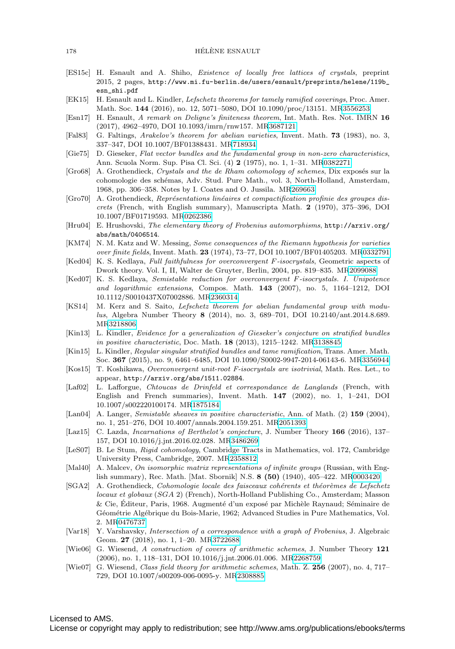- <span id="page-9-23"></span>[ES15c] H. Esnault and A. Shiho, Existence of locally free lattices of crystals, preprint 2015, 2 pages, [http://www.mi.fu-berlin.de/users/esnault/preprints/helene/119b\\_](http://www.mi.fu-berlin.de/users/esnault/preprints/helene/119b_esn_shi.pdf) [esn\\_shi.pdf](http://www.mi.fu-berlin.de/users/esnault/preprints/helene/119b_esn_shi.pdf)
- <span id="page-9-5"></span>[EK15] H. Esnault and L. Kindler, Lefschetz theorems for tamely ramified coverings, Proc. Amer. Math. Soc. **144** (2016), no. 12, 5071–5080, DOI 10.1090/proc/13151. M[R3556253](http://www.ams.org/mathscinet-getitem?mr=3556253)
- <span id="page-9-1"></span>[Esn17] H. Esnault, A remark on Deligne's finiteness theorem, Int. Math. Res. Not. IMRN **16** (2017), 4962–4970, DOI 10.1093/imrn/rnw157. M[R3687121](http://www.ams.org/mathscinet-getitem?mr=3687121)
- <span id="page-9-0"></span>[Fal83] G. Faltings, Arakelov's theorem for abelian varieties, Invent. Math. **73** (1983), no. 3, 337–347, DOI 10.1007/BF01388431. M[R718934](http://www.ams.org/mathscinet-getitem?mr=718934)
- <span id="page-9-15"></span>[Gie75] D. Gieseker, Flat vector bundles and the fundamental group in non-zero characteristics, Ann. Scuola Norm. Sup. Pisa Cl. Sci. (4) **2** (1975), no. 1, 1–31. M[R0382271](http://www.ams.org/mathscinet-getitem?mr=0382271)
- <span id="page-9-12"></span>[Gro68] A. Grothendieck, Crystals and the de Rham cohomology of schemes, Dix exposés sur la cohomologie des sch´emas, Adv. Stud. Pure Math., vol. 3, North-Holland, Amsterdam, 1968, pp. 306–358. Notes by I. Coates and O. Jussila. M[R269663](http://www.ams.org/mathscinet-getitem?mr=269663)
- <span id="page-9-14"></span>[Gro70] A. Grothendieck, Représentations linéaires et compactification profinie des groupes discrets (French, with English summary), Manuscripta Math. **2** (1970), 375–396, DOI 10.1007/BF01719593. M[R0262386](http://www.ams.org/mathscinet-getitem?mr=0262386)
- <span id="page-9-17"></span>[Hru04] E. Hrushovski, The elementary theory of Frobenius automorphisms, [http://arxiv.org/](http://arxiv.org/abs/math/0406514) [abs/math/0406514](http://arxiv.org/abs/math/0406514).
- <span id="page-9-22"></span>[KM74] N. M. Katz and W. Messing, Some consequences of the Riemann hypothesis for varieties over finite fields, Invent. Math. **23** (1974), 73–77, DOI 10.1007/BF01405203. M[R0332791](http://www.ams.org/mathscinet-getitem?mr=0332791)
- <span id="page-9-9"></span>[Ked04] K. S. Kedlaya, Full faithfulness for overconvergent F-isocrystals, Geometric aspects of Dwork theory. Vol. I, II, Walter de Gruyter, Berlin, 2004, pp. 819–835. M[R2099088](http://www.ams.org/mathscinet-getitem?mr=2099088)
- <span id="page-9-10"></span>[Ked07] K. S. Kedlaya, Semistable reduction for overconvergent F-isocrystals. I. Unipotence and logarithmic extensions, Compos. Math. **143** (2007), no. 5, 1164–1212, DOI 10.1112/S0010437X07002886. M[R2360314](http://www.ams.org/mathscinet-getitem?mr=2360314)
- <span id="page-9-7"></span>[KS14] M. Kerz and S. Saito, Lefschetz theorem for abelian fundamental group with modulus, Algebra Number Theory **8** (2014), no. 3, 689–701, DOI 10.2140/ant.2014.8.689. M[R3218806](http://www.ams.org/mathscinet-getitem?mr=3218806)
- <span id="page-9-20"></span>[Kin13] L. Kindler, Evidence for a generalization of Gieseker's conjecture on stratified bundles in positive characteristic, Doc. Math. **18** (2013), 1215–1242. M[R3138845](http://www.ams.org/mathscinet-getitem?mr=3138845)
- <span id="page-9-19"></span>[Kin15] L. Kindler, Regular singular stratified bundles and tame ramification, Trans. Amer. Math. Soc. **367** (2015), no. 9, 6461–6485, DOI 10.1090/S0002-9947-2014-06143-6. M[R3356944](http://www.ams.org/mathscinet-getitem?mr=3356944)
- <span id="page-9-11"></span>[Kos15] T. Koshikawa, Overconvergent unit-root F-isocrystals are isotrivial, Math. Res. Let., to appear, <http://arxiv.org/abs/1511.02884>.
- <span id="page-9-2"></span>[Laf02] L. Lafforgue, Chtoucas de Drinfeld et correspondance de Langlands (French, with English and French summaries), Invent. Math. **147** (2002), no. 1, 1–241, DOI 10.1007/s002220100174. M[R1875184](http://www.ams.org/mathscinet-getitem?mr=1875184)
- <span id="page-9-16"></span>[Lan04] A. Langer, Semistable sheaves in positive characteristic, Ann. of Math. (2) **159** (2004), no. 1, 251–276, DOI 10.4007/annals.2004.159.251. M[R2051393](http://www.ams.org/mathscinet-getitem?mr=2051393)
- <span id="page-9-21"></span>[Laz15] C. Lazda, Incarnations of Berthelot's conjecture, J. Number Theory **166** (2016), 137– 157, DOI 10.1016/j.jnt.2016.02.028. M[R3486269](http://www.ams.org/mathscinet-getitem?mr=3486269)
- <span id="page-9-8"></span>[LeS07] B. Le Stum, Rigid cohomology, Cambridge Tracts in Mathematics, vol. 172, Cambridge University Press, Cambridge, 2007. M[R2358812](http://www.ams.org/mathscinet-getitem?mr=2358812)
- <span id="page-9-13"></span>[Mal40] A. Malcev, On isomorphic matrix representations of infinite groups (Russian, with English summary), Rec. Math. [Mat. Sbornik] N.S. **8 (50)** (1940), 405–422. M[R0003420](http://www.ams.org/mathscinet-getitem?mr=0003420)
- <span id="page-9-6"></span>[SGA2] A. Grothendieck, Cohomologie locale des faisceaux cohérents et théorèmes de Lefschetz locaux et globaux (SGA 2) (French), North-Holland Publishing Co., Amsterdam; Masson  $&$  Cie, Éditeur, Paris, 1968. Augmenté d'un exposé par Michèle Raynaud; Séminaire de Géométrie Algébrique du Bois-Marie, 1962; Advanced Studies in Pure Mathematics, Vol. 2. M[R0476737](http://www.ams.org/mathscinet-getitem?mr=0476737)
- <span id="page-9-18"></span>[Var18] Y. Varshavsky, Intersection of a correspondence with a graph of Frobenius, J. Algebraic Geom. **27** (2018), no. 1, 1–20. M[R3722688](http://www.ams.org/mathscinet-getitem?mr=3722688)
- <span id="page-9-3"></span>[Wie06] G. Wiesend, A construction of covers of arithmetic schemes, J. Number Theory **121** (2006), no. 1, 118–131, DOI 10.1016/j.jnt.2006.01.006. M[R2268759](http://www.ams.org/mathscinet-getitem?mr=2268759)
- <span id="page-9-4"></span>[Wie07] G. Wiesend, Class field theory for arithmetic schemes, Math. Z. **256** (2007), no. 4, 717– 729, DOI 10.1007/s00209-006-0095-y. M[R2308885](http://www.ams.org/mathscinet-getitem?mr=2308885)

# Licensed to AMS.